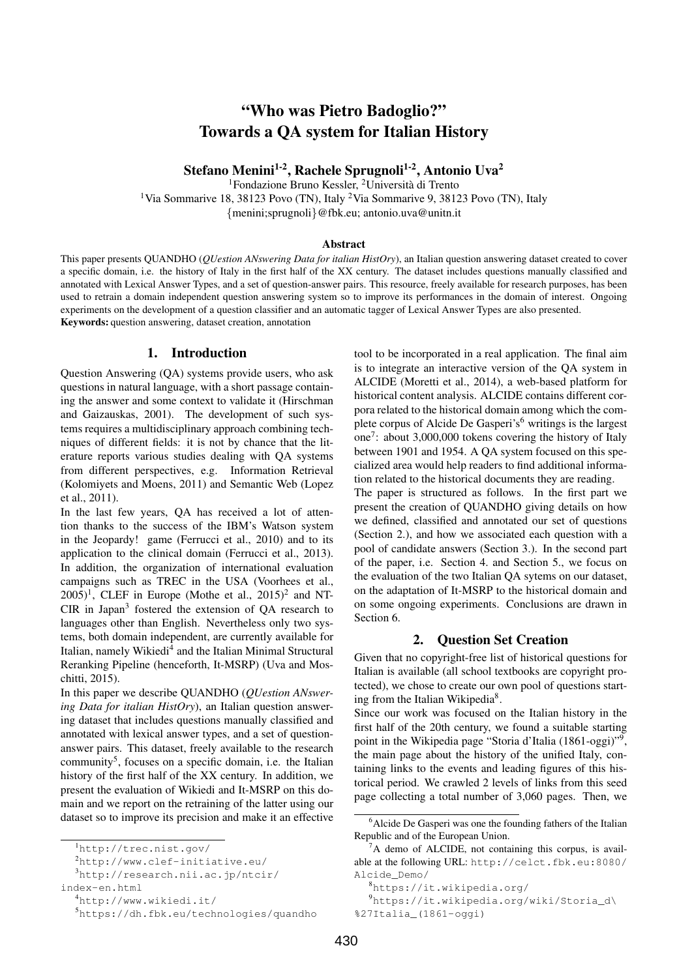# "Who was Pietro Badoglio?" Towards a QA system for Italian History

Stefano Menini<sup>1-2</sup>, Rachele Sprugnoli<sup>1-2</sup>, Antonio Uva<sup>2</sup>

<sup>1</sup>Fondazione Bruno Kessler, <sup>2</sup>Università di Trento

<sup>1</sup>Via Sommarive 18, 38123 Povo (TN), Italy <sup>2</sup>Via Sommarive 9, 38123 Povo (TN), Italy {menini;sprugnoli}@fbk.eu; antonio.uva@unitn.it

#### Abstract

This paper presents QUANDHO (*QUestion ANswering Data for italian HistOry*), an Italian question answering dataset created to cover a specific domain, i.e. the history of Italy in the first half of the XX century. The dataset includes questions manually classified and annotated with Lexical Answer Types, and a set of question-answer pairs. This resource, freely available for research purposes, has been used to retrain a domain independent question answering system so to improve its performances in the domain of interest. Ongoing experiments on the development of a question classifier and an automatic tagger of Lexical Answer Types are also presented. Keywords: question answering, dataset creation, annotation

# 1. Introduction

Question Answering (QA) systems provide users, who ask questions in natural language, with a short passage containing the answer and some context to validate it (Hirschman and Gaizauskas, 2001). The development of such systems requires a multidisciplinary approach combining techniques of different fields: it is not by chance that the literature reports various studies dealing with QA systems from different perspectives, e.g. Information Retrieval (Kolomiyets and Moens, 2011) and Semantic Web (Lopez et al., 2011).

In the last few years, QA has received a lot of attention thanks to the success of the IBM's Watson system in the Jeopardy! game (Ferrucci et al., 2010) and to its application to the clinical domain (Ferrucci et al., 2013). In addition, the organization of international evaluation campaigns such as TREC in the USA (Voorhees et al.,  $(2005)^1$ , CLEF in Europe (Mothe et al.,  $(2015)^2$  and NT-CIR in Japan<sup>3</sup> fostered the extension of QA research to languages other than English. Nevertheless only two systems, both domain independent, are currently available for Italian, namely Wikiedi<sup>4</sup> and the Italian Minimal Structural Reranking Pipeline (henceforth, It-MSRP) (Uva and Moschitti, 2015).

In this paper we describe QUANDHO (*QUestion ANswering Data for italian HistOry*), an Italian question answering dataset that includes questions manually classified and annotated with lexical answer types, and a set of questionanswer pairs. This dataset, freely available to the research community<sup>5</sup>, focuses on a specific domain, i.e. the Italian history of the first half of the XX century. In addition, we present the evaluation of Wikiedi and It-MSRP on this domain and we report on the retraining of the latter using our dataset so to improve its precision and make it an effective tool to be incorporated in a real application. The final aim is to integrate an interactive version of the QA system in ALCIDE (Moretti et al., 2014), a web-based platform for historical content analysis. ALCIDE contains different corpora related to the historical domain among which the complete corpus of Alcide De Gasperi's<sup>6</sup> writings is the largest one<sup>7</sup> : about 3,000,000 tokens covering the history of Italy between 1901 and 1954. A QA system focused on this specialized area would help readers to find additional information related to the historical documents they are reading.

The paper is structured as follows. In the first part we present the creation of QUANDHO giving details on how we defined, classified and annotated our set of questions (Section 2.), and how we associated each question with a pool of candidate answers (Section 3.). In the second part of the paper, i.e. Section 4. and Section 5., we focus on the evaluation of the two Italian QA sytems on our dataset, on the adaptation of It-MSRP to the historical domain and on some ongoing experiments. Conclusions are drawn in Section 6.

# 2. Question Set Creation

Given that no copyright-free list of historical questions for Italian is available (all school textbooks are copyright protected), we chose to create our own pool of questions starting from the Italian Wikipedia<sup>8</sup>.

Since our work was focused on the Italian history in the first half of the 20th century, we found a suitable starting point in the Wikipedia page "Storia d'Italia (1861-oggi)"<sup>9</sup> , the main page about the history of the unified Italy, containing links to the events and leading figures of this historical period. We crawled 2 levels of links from this seed page collecting a total number of 3,060 pages. Then, we

<sup>1</sup>http://trec.nist.gov/

<sup>2</sup>http://www.clef-initiative.eu/

<sup>3</sup>http://research.nii.ac.jp/ntcir/

index-en.html

<sup>4</sup>http://www.wikiedi.it/

<sup>5</sup>https://dh.fbk.eu/technologies/quandho

<sup>&</sup>lt;sup>6</sup> Alcide De Gasperi was one the founding fathers of the Italian Republic and of the European Union.

 ${}^{7}$ A demo of ALCIDE, not containing this corpus, is available at the following URL: http://celct.fbk.eu:8080/ Alcide\_Demo/

<sup>8</sup>https://it.wikipedia.org/

<sup>9</sup>https://it.wikipedia.org/wiki/Storia\_d\

<sup>%27</sup>Italia\_(1861-oggi)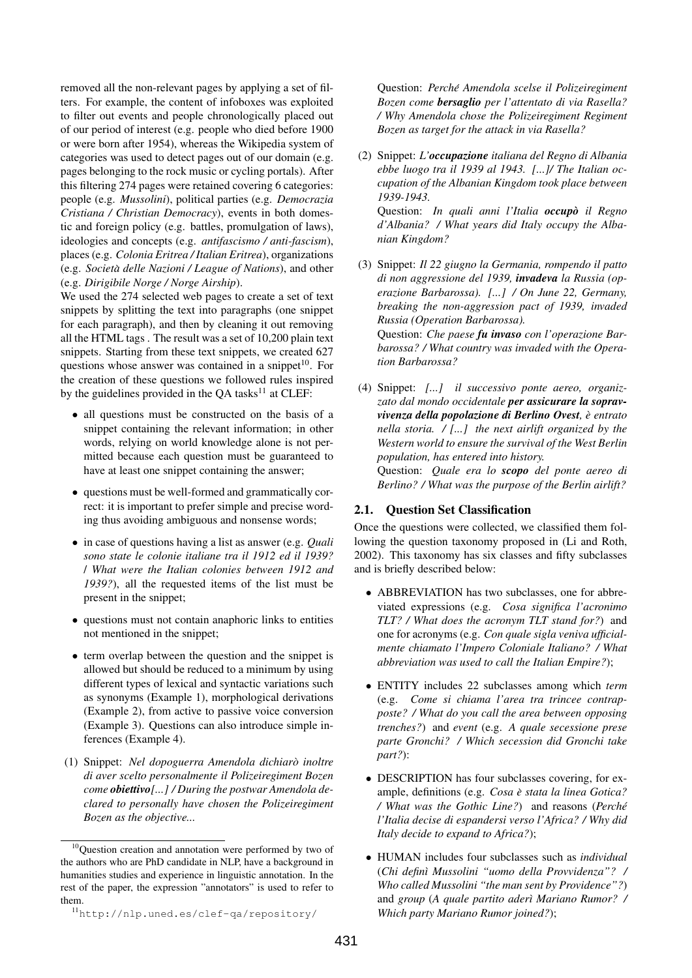removed all the non-relevant pages by applying a set of filters. For example, the content of infoboxes was exploited to filter out events and people chronologically placed out of our period of interest (e.g. people who died before 1900 or were born after 1954), whereas the Wikipedia system of categories was used to detect pages out of our domain (e.g. pages belonging to the rock music or cycling portals). After this filtering 274 pages were retained covering 6 categories: people (e.g. *Mussolini*), political parties (e.g. *Democrazia Cristiana / Christian Democracy*), events in both domestic and foreign policy (e.g. battles, promulgation of laws), ideologies and concepts (e.g. *antifascismo / anti-fascism*), places (e.g. *Colonia Eritrea / Italian Eritrea*), organizations (e.g. *Societa delle Nazioni / League of Nations `* ), and other (e.g. *Dirigibile Norge / Norge Airship*).

We used the 274 selected web pages to create a set of text snippets by splitting the text into paragraphs (one snippet for each paragraph), and then by cleaning it out removing all the HTML tags . The result was a set of 10,200 plain text snippets. Starting from these text snippets, we created 627 questions whose answer was contained in a snippet<sup>10</sup>. For the creation of these questions we followed rules inspired by the guidelines provided in the  $QA$  tasks<sup>11</sup> at CLEF:

- all questions must be constructed on the basis of a snippet containing the relevant information; in other words, relying on world knowledge alone is not permitted because each question must be guaranteed to have at least one snippet containing the answer;
- questions must be well-formed and grammatically correct: it is important to prefer simple and precise wording thus avoiding ambiguous and nonsense words;
- in case of questions having a list as answer (e.g. *Quali sono state le colonie italiane tra il 1912 ed il 1939?* / *What were the Italian colonies between 1912 and 1939?*), all the requested items of the list must be present in the snippet;
- questions must not contain anaphoric links to entities not mentioned in the snippet;
- term overlap between the question and the snippet is allowed but should be reduced to a minimum by using different types of lexical and syntactic variations such as synonyms (Example 1), morphological derivations (Example 2), from active to passive voice conversion (Example 3). Questions can also introduce simple inferences (Example 4).
- (1) Snippet: *Nel dopoguerra Amendola dichiaro inoltre ` di aver scelto personalmente il Polizeiregiment Bozen come obiettivo[...] / During the postwar Amendola declared to personally have chosen the Polizeiregiment Bozen as the objective...*

Question: *Perche Amendola scelse il Polizeiregiment ´ Bozen come bersaglio per l'attentato di via Rasella? / Why Amendola chose the Polizeiregiment Regiment Bozen as target for the attack in via Rasella?*

(2) Snippet: *L'occupazione italiana del Regno di Albania ebbe luogo tra il 1939 al 1943. [...]/ The Italian occupation of the Albanian Kingdom took place between 1939-1943.* Question: *In quali anni l'Italia occupo` il Regno*

*d'Albania? / What years did Italy occupy the Albanian Kingdom?*

- (3) Snippet: *Il 22 giugno la Germania, rompendo il patto di non aggressione del 1939, invadeva la Russia (operazione Barbarossa). [...] / On June 22, Germany, breaking the non-aggression pact of 1939, invaded Russia (Operation Barbarossa).* Question: *Che paese fu invaso con l'operazione Barbarossa? / What country was invaded with the Opera-*
- (4) Snippet: *[...] il successivo ponte aereo, organizzato dal mondo occidentale per assicurare la sopravvivenza della popolazione di Berlino Ovest, e entrato ` nella storia. / [...] the next airlift organized by the Western world to ensure the survival of the West Berlin population, has entered into history.* Question: *Quale era lo scopo del ponte aereo di Berlino? / What was the purpose of the Berlin airlift?*

#### 2.1. Question Set Classification

*tion Barbarossa?*

Once the questions were collected, we classified them following the question taxonomy proposed in (Li and Roth, 2002). This taxonomy has six classes and fifty subclasses and is briefly described below:

- ABBREVIATION has two subclasses, one for abbreviated expressions (e.g. *Cosa significa l'acronimo TLT? / What does the acronym TLT stand for?*) and one for acronyms (e.g. *Con quale sigla veniva ufficialmente chiamato l'Impero Coloniale Italiano? / What abbreviation was used to call the Italian Empire?*);
- ENTITY includes 22 subclasses among which *term* (e.g. *Come si chiama l'area tra trincee contrapposte? / What do you call the area between opposing trenches?*) and *event* (e.g. *A quale secessione prese parte Gronchi? / Which secession did Gronchi take part?*):
- DESCRIPTION has four subclasses covering, for example, definitions (e.g. *Cosa e stata la linea Gotica? ` / What was the Gothic Line?*) and reasons (*Perche´ l'Italia decise di espandersi verso l'Africa? / Why did Italy decide to expand to Africa?*);
- HUMAN includes four subclasses such as *individual* (*Chi defin`ı Mussolini "uomo della Provvidenza"? / Who called Mussolini "the man sent by Providence"?*) and *group* (*A quale partito ader`ı Mariano Rumor? / Which party Mariano Rumor joined?*);

<sup>&</sup>lt;sup>10</sup>Ouestion creation and annotation were performed by two of the authors who are PhD candidate in NLP, have a background in humanities studies and experience in linguistic annotation. In the rest of the paper, the expression "annotators" is used to refer to them.

<sup>11</sup>http://nlp.uned.es/clef-qa/repository/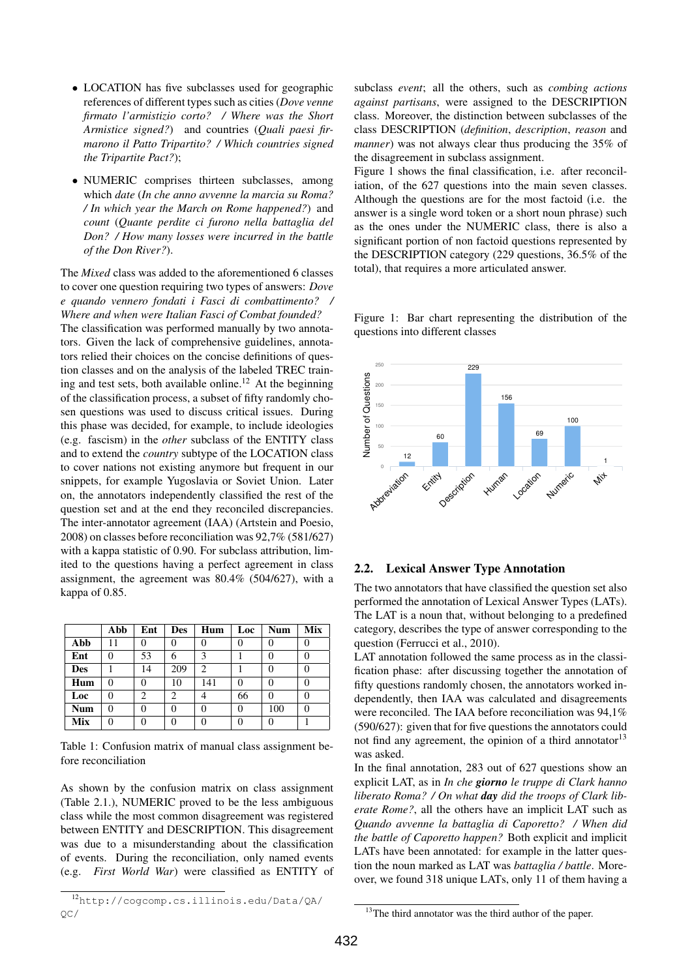- LOCATION has five subclasses used for geographic references of different types such as cities (*Dove venne firmato l'armistizio corto? / Where was the Short Armistice signed?*) and countries (*Quali paesi firmarono il Patto Tripartito? / Which countries signed the Tripartite Pact?*);
- NUMERIC comprises thirteen subclasses, among which *date* (*In che anno avvenne la marcia su Roma? / In which year the March on Rome happened?*) and *count* (*Quante perdite ci furono nella battaglia del Don? / How many losses were incurred in the battle of the Don River?*).

The *Mixed* class was added to the aforementioned 6 classes to cover one question requiring two types of answers: *Dove e quando vennero fondati i Fasci di combattimento? / Where and when were Italian Fasci of Combat founded?* The classification was performed manually by two annotators. Given the lack of comprehensive guidelines, annotators relied their choices on the concise definitions of question classes and on the analysis of the labeled TREC training and test sets, both available online.<sup>12</sup> At the beginning of the classification process, a subset of fifty randomly chosen questions was used to discuss critical issues. During this phase was decided, for example, to include ideologies (e.g. fascism) in the *other* subclass of the ENTITY class and to extend the *country* subtype of the LOCATION class to cover nations not existing anymore but frequent in our snippets, for example Yugoslavia or Soviet Union. Later on, the annotators independently classified the rest of the question set and at the end they reconciled discrepancies. The inter-annotator agreement (IAA) (Artstein and Poesio, 2008) on classes before reconciliation was 92,7% (581/627) with a kappa statistic of 0.90. For subclass attribution, limited to the questions having a perfect agreement in class assignment, the agreement was 80.4% (504/627), with a kappa of 0.85.

|            | Abb      | Ent | <b>Des</b> | Hum | Loc | <b>Num</b> | Mix |
|------------|----------|-----|------------|-----|-----|------------|-----|
| Abb        | 11       | 0   |            |     |     | 0          |     |
| Ent        | 0        | 53  | 6          | 3   |     | 0          |     |
| <b>Des</b> |          | 14  | 209        | 2   |     | $\Omega$   |     |
| Hum        | $\theta$ | 0   | 10         | 141 | 0   | 0          |     |
| Loc        | $\theta$ | 2   | 2          |     | 66  | 0          |     |
| <b>Num</b> | 0        | 0   |            | 0   | 0   | 100        |     |
| Mix        | 0        | 0   |            |     | O   | 0          |     |

Table 1: Confusion matrix of manual class assignment before reconciliation

As shown by the confusion matrix on class assignment (Table 2.1.), NUMERIC proved to be the less ambiguous class while the most common disagreement was registered between ENTITY and DESCRIPTION. This disagreement was due to a misunderstanding about the classification of events. During the reconciliation, only named events (e.g. *First World War*) were classified as ENTITY of subclass *event*; all the others, such as *combing actions against partisans*, were assigned to the DESCRIPTION class. Moreover, the distinction between subclasses of the class DESCRIPTION (*definition*, *description*, *reason* and *manner*) was not always clear thus producing the 35% of the disagreement in subclass assignment.

Figure 1 shows the final classification, i.e. after reconciliation, of the 627 questions into the main seven classes. Although the questions are for the most factoid (i.e. the answer is a single word token or a short noun phrase) such as the ones under the NUMERIC class, there is also a significant portion of non factoid questions represented by the DESCRIPTION category (229 questions, 36.5% of the total), that requires a more articulated answer.

Figure 1: Bar chart representing the distribution of the questions into different classes



# 2.2. Lexical Answer Type Annotation

The two annotators that have classified the question set also performed the annotation of Lexical Answer Types (LATs). The LAT is a noun that, without belonging to a predefined category, describes the type of answer corresponding to the question (Ferrucci et al., 2010).

LAT annotation followed the same process as in the classification phase: after discussing together the annotation of fifty questions randomly chosen, the annotators worked independently, then IAA was calculated and disagreements were reconciled. The IAA before reconciliation was 94,1% (590/627): given that for five questions the annotators could not find any agreement, the opinion of a third annotator<sup>13</sup> was asked.

In the final annotation, 283 out of 627 questions show an explicit LAT, as in *In che giorno le truppe di Clark hanno liberato Roma? / On what day did the troops of Clark liberate Rome?*, all the others have an implicit LAT such as *Quando avvenne la battaglia di Caporetto? / When did the battle of Caporetto happen?* Both explicit and implicit LATs have been annotated: for example in the latter question the noun marked as LAT was *battaglia / battle*. Moreover, we found 318 unique LATs, only 11 of them having a

<sup>12</sup>http://cogcomp.cs.illinois.edu/Data/QA/  $OC/$ 

<sup>&</sup>lt;sup>13</sup>The third annotator was the third author of the paper.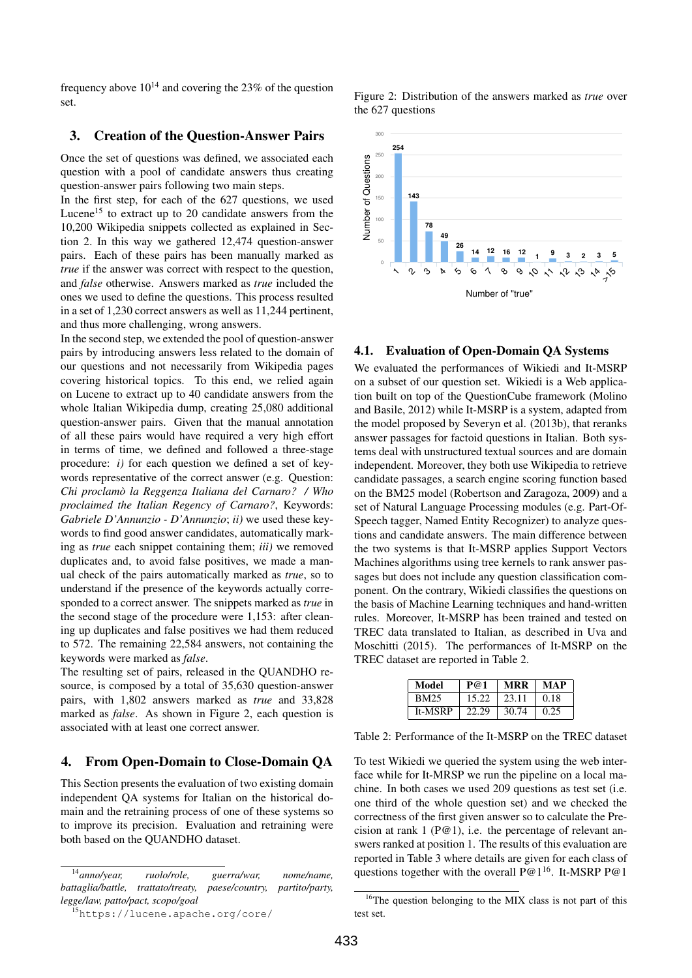frequency above  $10^{14}$  and covering the 23% of the question set.

## 3. Creation of the Question-Answer Pairs

Once the set of questions was defined, we associated each question with a pool of candidate answers thus creating question-answer pairs following two main steps.

In the first step, for each of the 627 questions, we used Lucene<sup>15</sup> to extract up to 20 candidate answers from the 10,200 Wikipedia snippets collected as explained in Section 2. In this way we gathered 12,474 question-answer pairs. Each of these pairs has been manually marked as *true* if the answer was correct with respect to the question, and *false* otherwise. Answers marked as *true* included the ones we used to define the questions. This process resulted in a set of 1,230 correct answers as well as 11,244 pertinent, and thus more challenging, wrong answers.

In the second step, we extended the pool of question-answer pairs by introducing answers less related to the domain of our questions and not necessarily from Wikipedia pages covering historical topics. To this end, we relied again on Lucene to extract up to 40 candidate answers from the whole Italian Wikipedia dump, creating 25,080 additional question-answer pairs. Given that the manual annotation of all these pairs would have required a very high effort in terms of time, we defined and followed a three-stage procedure: *i)* for each question we defined a set of keywords representative of the correct answer (e.g. Question: *Chi proclamo la Reggenza Italiana del Carnaro? / Who ` proclaimed the Italian Regency of Carnaro?*, Keywords: *Gabriele D'Annunzio - D'Annunzio*; *ii)* we used these keywords to find good answer candidates, automatically marking as *true* each snippet containing them; *iii)* we removed duplicates and, to avoid false positives, we made a manual check of the pairs automatically marked as *true*, so to understand if the presence of the keywords actually corresponded to a correct answer. The snippets marked as *true* in the second stage of the procedure were 1,153: after cleaning up duplicates and false positives we had them reduced to 572. The remaining 22,584 answers, not containing the keywords were marked as *false*.

The resulting set of pairs, released in the QUANDHO resource, is composed by a total of 35,630 question-answer pairs, with 1,802 answers marked as *true* and 33,828 marked as *false*. As shown in Figure 2, each question is associated with at least one correct answer.

# 4. From Open-Domain to Close-Domain QA

This Section presents the evaluation of two existing domain independent QA systems for Italian on the historical domain and the retraining process of one of these systems so to improve its precision. Evaluation and retraining were both based on the QUANDHO dataset.

Figure 2: Distribution of the answers marked as *true* over the 627 questions



#### 4.1. Evaluation of Open-Domain QA Systems

We evaluated the performances of Wikiedi and It-MSRP on a subset of our question set. Wikiedi is a Web application built on top of the QuestionCube framework (Molino and Basile, 2012) while It-MSRP is a system, adapted from the model proposed by Severyn et al. (2013b), that reranks answer passages for factoid questions in Italian. Both systems deal with unstructured textual sources and are domain independent. Moreover, they both use Wikipedia to retrieve candidate passages, a search engine scoring function based on the BM25 model (Robertson and Zaragoza, 2009) and a set of Natural Language Processing modules (e.g. Part-Of-Speech tagger, Named Entity Recognizer) to analyze questions and candidate answers. The main difference between the two systems is that It-MSRP applies Support Vectors Machines algorithms using tree kernels to rank answer passages but does not include any question classification component. On the contrary, Wikiedi classifies the questions on the basis of Machine Learning techniques and hand-written rules. Moreover, It-MSRP has been trained and tested on TREC data translated to Italian, as described in Uva and Moschitti (2015). The performances of It-MSRP on the TREC dataset are reported in Table 2.

| Model       | P@1   | MRR   | <b>MAP</b> |
|-------------|-------|-------|------------|
| <b>BM25</b> | 15.22 | 23.11 | 0.18       |
| It-MSRP     | 22.29 | 30.74 | 0.25       |

Table 2: Performance of the It-MSRP on the TREC dataset

To test Wikiedi we queried the system using the web interface while for It-MRSP we run the pipeline on a local machine. In both cases we used 209 questions as test set (i.e. one third of the whole question set) and we checked the correctness of the first given answer so to calculate the Precision at rank 1 ( $P@1$ ), i.e. the percentage of relevant answers ranked at position 1. The results of this evaluation are reported in Table 3 where details are given for each class of questions together with the overall  $P@1^{16}$ . It-MSRP P@1

<sup>14</sup>*anno/year, ruolo/role, guerra/war, nome/name, battaglia/battle, trattato/treaty, paese/country, partito/party, legge/law, patto/pact, scopo/goal*

<sup>15</sup>https://lucene.apache.org/core/

<sup>&</sup>lt;sup>16</sup>The question belonging to the MIX class is not part of this test set.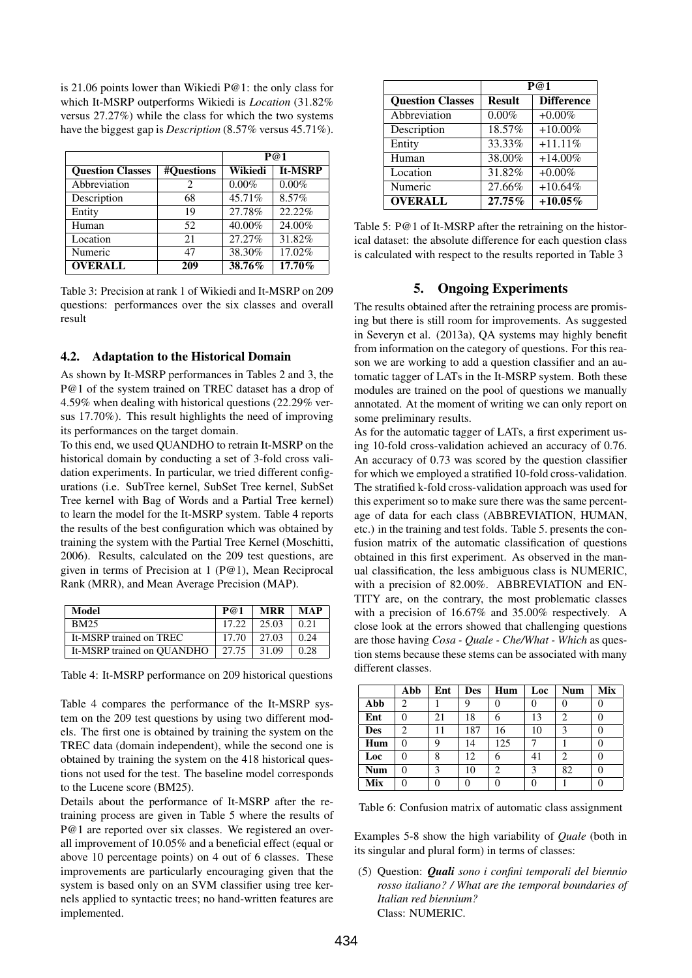is 21.06 points lower than Wikiedi P@1: the only class for which It-MSRP outperforms Wikiedi is *Location* (31.82% versus 27.27%) while the class for which the two systems have the biggest gap is *Description* (8.57% versus 45.71%).

|                         | P@1        |          |                |
|-------------------------|------------|----------|----------------|
| <b>Ouestion Classes</b> | #Ouestions | Wikiedi  | <b>It-MSRP</b> |
| Abbreviation            | 2          | $0.00\%$ | $0.00\%$       |
| Description             | 68         | 45.71%   | 8.57%          |
| Entity                  | 19         | 27.78%   | 22.22%         |
| Human                   | 52         | 40.00%   | 24.00%         |
| Location                | 21         | 27.27%   | 31.82%         |
| Numeric                 | 47         | 38.30%   | 17.02%         |
| <b>OVERALL</b>          | 209        | 38.76%   | 17.70%         |

Table 3: Precision at rank 1 of Wikiedi and It-MSRP on 209 questions: performances over the six classes and overall result

## 4.2. Adaptation to the Historical Domain

As shown by It-MSRP performances in Tables 2 and 3, the P@1 of the system trained on TREC dataset has a drop of 4.59% when dealing with historical questions (22.29% versus 17.70%). This result highlights the need of improving its performances on the target domain.

To this end, we used QUANDHO to retrain It-MSRP on the historical domain by conducting a set of 3-fold cross validation experiments. In particular, we tried different configurations (i.e. SubTree kernel, SubSet Tree kernel, SubSet Tree kernel with Bag of Words and a Partial Tree kernel) to learn the model for the It-MSRP system. Table 4 reports the results of the best configuration which was obtained by training the system with the Partial Tree Kernel (Moschitti, 2006). Results, calculated on the 209 test questions, are given in terms of Precision at 1 (P@1), Mean Reciprocal Rank (MRR), and Mean Average Precision (MAP).

| Model                      | P@1   | <b>MRR</b> | <b>MAP</b> |
|----------------------------|-------|------------|------------|
| <b>BM25</b>                | 17.22 | 25.03      | 0.21       |
| It-MSRP trained on TREC    | 17.70 | 27.03      | 0.24       |
| It-MSRP trained on OUANDHO | 27.75 | 31.09      | 0.28       |

Table 4: It-MSRP performance on 209 historical questions

Table 4 compares the performance of the It-MSRP system on the 209 test questions by using two different models. The first one is obtained by training the system on the TREC data (domain independent), while the second one is obtained by training the system on the 418 historical questions not used for the test. The baseline model corresponds to the Lucene score (BM25).

Details about the performance of It-MSRP after the retraining process are given in Table 5 where the results of P@1 are reported over six classes. We registered an overall improvement of 10.05% and a beneficial effect (equal or above 10 percentage points) on 4 out of 6 classes. These improvements are particularly encouraging given that the system is based only on an SVM classifier using tree kernels applied to syntactic trees; no hand-written features are implemented.

|                         | P@1           |                   |  |
|-------------------------|---------------|-------------------|--|
| <b>Question Classes</b> | <b>Result</b> | <b>Difference</b> |  |
| Abbreviation            | 0.00%         | $+0.00\%$         |  |
| Description             | 18.57%        | $+10.00\%$        |  |
| Entity                  | 33.33%        | $+11.11%$         |  |
| Human                   | 38.00%        | $+14.00\%$        |  |
| Location                | 31.82%        | $+0.00\%$         |  |
| Numeric                 | 27.66%        | $+10.64%$         |  |
| <b>OVERALL</b>          | 27.75%        | $+10.05\%$        |  |

Table 5: P@1 of It-MSRP after the retraining on the historical dataset: the absolute difference for each question class is calculated with respect to the results reported in Table 3

#### 5. Ongoing Experiments

The results obtained after the retraining process are promising but there is still room for improvements. As suggested in Severyn et al. (2013a), QA systems may highly benefit from information on the category of questions. For this reason we are working to add a question classifier and an automatic tagger of LATs in the It-MSRP system. Both these modules are trained on the pool of questions we manually annotated. At the moment of writing we can only report on some preliminary results.

As for the automatic tagger of LATs, a first experiment using 10-fold cross-validation achieved an accuracy of 0.76. An accuracy of 0.73 was scored by the question classifier for which we employed a stratified 10-fold cross-validation. The stratified k-fold cross-validation approach was used for this experiment so to make sure there was the same percentage of data for each class (ABBREVIATION, HUMAN, etc.) in the training and test folds. Table 5. presents the confusion matrix of the automatic classification of questions obtained in this first experiment. As observed in the manual classification, the less ambiguous class is NUMERIC, with a precision of 82.00%. ABBREVIATION and EN-TITY are, on the contrary, the most problematic classes with a precision of 16.67% and 35.00% respectively. A close look at the errors showed that challenging questions are those having *Cosa - Quale - Che/What - Which* as question stems because these stems can be associated with many different classes.

|            | Abb | Ent | <b>Des</b> | Hum | Loc | <b>Num</b> | Mix |
|------------|-----|-----|------------|-----|-----|------------|-----|
| Abb        | 2   |     | 9          |     |     |            | U   |
| Ent        | 0   | 21  | 18         | 6   | 13  | 2          | 0   |
| <b>Des</b> | 2   | 11  | 187        | 16  | 10  | 3          | 0   |
| Hum        | 0   | 9   | 14         | 125 |     |            | 0   |
| Loc        | 0   | 8   | 12         | 6   | 41  | 2          | 0   |
| <b>Num</b> | 0   | 3   | 10         | 2   | 3   | 82         | 0   |
| <b>Mix</b> |     | 0   | 0          |     | 0   |            | 0   |

Table 6: Confusion matrix of automatic class assignment

Examples 5-8 show the high variability of *Quale* (both in its singular and plural form) in terms of classes:

(5) Question: *Quali sono i confini temporali del biennio rosso italiano? / What are the temporal boundaries of Italian red biennium?* Class: NUMERIC.